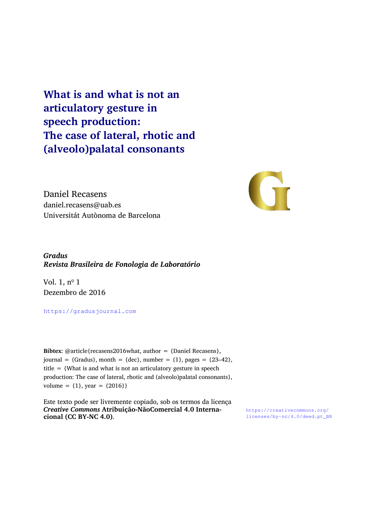**What is and what is not an articulatory gesture in speech production: The case of lateral, rhotic and (alveolo)palatal consonants**



Daniel Recasens daniel.recasens@uab.es Universitát Autònoma de Barcelona

#### *Gradus Revista Brasileira de Fonologia de Laboratório*

Vol. 1, nº 1 Dezembro de 2016

<https://gradusjournal.com>

**Bibtex**: @article{recasens2016what, author = {Daniel Recasens}, journal = {Gradus}, month = {dec}, number = {1}, pages = {23-42}, title  $=$  {What is and what is not an articulatory gesture in speech production: The case of lateral, rhotic and (alveolo)palatal consonants}, volume =  $\{1\}$ , year =  $\{2016\}$ 

Este texto pode ser livremente copiado, sob os termos da licença *Creative Commons* **Atribuição-NãoComercial 4.0 Internacional (CC BY-NC 4.0)**.

[https://creativecommons.org/](https://creativecommons.org/licenses/by-nc/4.0/deed.pt_BR) [licenses/by-nc/4.0/deed.pt\\_BR](https://creativecommons.org/licenses/by-nc/4.0/deed.pt_BR)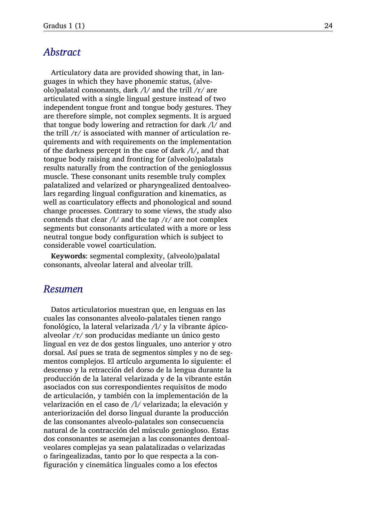### *Abstract*

Articulatory data are provided showing that, in languages in which they have phonemic status, (alveolo)palatal consonants, dark /l/ and the trill /r/ are articulated with a single lingual gesture instead of two independent tongue front and tongue body gestures. They are therefore simple, not complex segments. It is argued that tongue body lowering and retraction for dark /l/ and the trill /r/ is associated with manner of articulation requirements and with requirements on the implementation of the darkness percept in the case of dark /l/, and that tongue body raising and fronting for (alveolo)palatals results naturally from the contraction of the genioglossus muscle. These consonant units resemble truly complex palatalized and velarized or pharyngealized dentoalveolars regarding lingual configuration and kinematics, as well as coarticulatory effects and phonological and sound change processes. Contrary to some views, the study also contends that clear  $\Lambda$ / and the tap  $\Lambda$ / are not complex segments but consonants articulated with a more or less neutral tongue body configuration which is subject to considerable vowel coarticulation.

**Keywords**: segmental complexity, (alveolo)palatal consonants, alveolar lateral and alveolar trill.

#### *Resumen*

Datos articulatorios muestran que, en lenguas en las cuales las consonantes alveolo-palatales tienen rango fonológico, la lateral velarizada /l/ y la vibrante ápicoalveolar /r/ son producidas mediante un único gesto lingual en vez de dos gestos linguales, uno anterior y otro dorsal. Así pues se trata de segmentos simples y no de segmentos complejos. El artículo argumenta lo siguiente: el descenso y la retracción del dorso de la lengua durante la producción de la lateral velarizada y de la vibrante están asociados con sus correspondientes requisitos de modo de articulación, y también con la implementación de la velarización en el caso de /l/ velarizada; la elevación y anteriorización del dorso lingual durante la producción de las consonantes alveolo-palatales son consecuencia natural de la contracción del músculo geniogloso. Estas dos consonantes se asemejan a las consonantes dentoalveolares complejas ya sean palatalizadas o velarizadas o faringealizadas, tanto por lo que respecta a la coniguración y cinemática linguales como a los efectos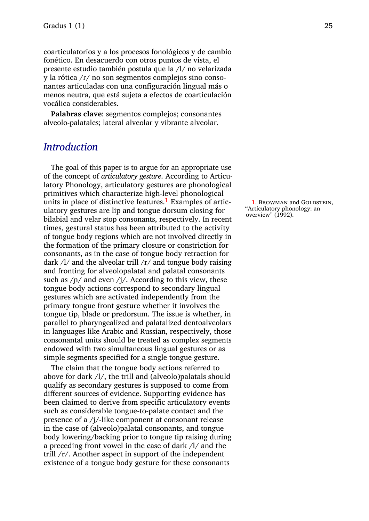coarticulatorios y a los procesos fonológicos y de cambio fonético. En desacuerdo con otros puntos de vista, el presente estudio también postula que la /l/ no velarizada y la rótica /ɾ/ no son segmentos complejos sino consonantes articuladas con una configuración lingual más o menos neutra, que está sujeta a efectos de coarticulación vocálica considerables.

**Palabras clave**: segmentos complejos; consonantes alveolo-palatales; lateral alveolar y vibrante alveolar.

# *Introduction*

The goal of this paper is to argue for an appropriate use of the concept of *articulatory gesture*. According to Articulatory Phonology, articulatory gestures are phonological primitives which characterize high-level phonological units in place of distinctive features.<sup>1</sup> Examples of artic-  $\qquad 1.$  BROWMAN and GOLDSTEIN, ulatory gestures are lip and tongue dorsum closing for bilabial and velar stop consonants, respectively. In recent times, gestural status has been attributed to the activity of tongue body regions which are not involved directly in the formation of the primary closure or constriction for consonants, as in the case of tongue body retraction for dark  $\Lambda$  and the alveolar trill  $\Lambda$  and tongue body raising and fronting for alveolopalatal and palatal consonants such as  $/p/$  and even  $/j/$ . According to this view, these tongue body actions correspond to secondary lingual gestures which are activated independently from the primary tongue front gesture whether it involves the tongue tip, blade or predorsum. The issue is whether, in parallel to pharyngealized and palatalized dentoalveolars in languages like Arabic and Russian, respectively, those consonantal units should be treated as complex segments endowed with two simultaneous lingual gestures or as simple segments specified for a single tongue gesture.

The claim that the tongue body actions referred to above for dark /l/, the trill and (alveolo)palatals should qualify as secondary gestures is supposed to come from diferent sources of evidence. Supporting evidence has been claimed to derive from specific articulatory events such as considerable tongue-to-palate contact and the presence of a /j/-like component at consonant release in the case of (alveolo)palatal consonants, and tongue body lowering/backing prior to tongue tip raising during a preceding front vowel in the case of dark /l/ and the trill /r/. Another aspect in support of the independent existence of a tongue body gesture for these consonants

["Articulatory phonology: an](#page-16-0)<br>overview" (1992).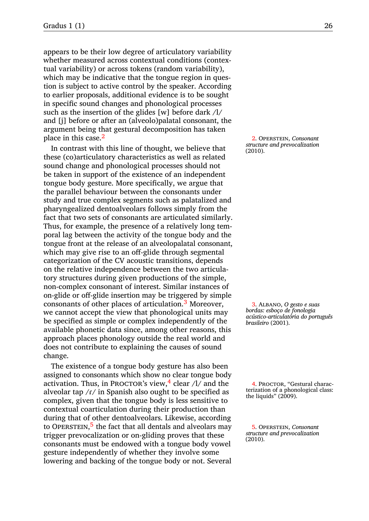appears to be their low degree of articulatory variability whether measured across contextual conditions (contextual variability) or across tokens (random variability), which may be indicative that the tongue region in question is subject to active control by the speaker. According to earlier proposals, additional evidence is to be sought in specific sound changes and phonological processes such as the insertion of the glides [w] before dark /l/ and [j] before or after an (alveolo)palatal consonant, the argument being that gestural decomposition has taken place in this case.<sup>2</sup> 2. OPERSTEIN, *[Consonant](#page-17-0)* 

In contrast with this line of thought, we believe that these (co)articulatory characteristics as well as related sound change and phonological processes should not be taken in support of the existence of an independent tongue body gesture. More specifically, we argue that the parallel behaviour between the consonants under study and true complex segments such as palatalized and pharyngealized dentoalveolars follows simply from the fact that two sets of consonants are articulated similarly. Thus, for example, the presence of a relatively long temporal lag between the activity of the tongue body and the tongue front at the release of an alveolopalatal consonant, which may give rise to an off-glide through segmental categorization of the CV acoustic transitions, depends on the relative independence between the two articulatory structures during given productions of the simple, non-complex consonant of interest. Similar instances of on-glide or off-glide insertion may be triggered by simple consonants of other places of articulation.<sup>3</sup> Moreover, 3. Albano, *[O gesto e suas](#page-16-1)* we cannot accept the view that phonological units may be specified as simple or complex independently of the available phonetic data since, among other reasons, this approach places phonology outside the real world and does not contribute to explaining the causes of sound change.

The existence of a tongue body gesture has also been assigned to consonants which show no clear tongue body activation. Thus, in PROCTOR's view,  $4 \text{ clear } \frac{\Lambda}{4}$  and the 4. PROCTOR, ["Gestural charac](#page-18-0)alveolar tap  $/r/$  in Spanish also ought to be specified as complex, given that the tongue body is less sensitive to contextual coarticulation during their production than during that of other dentoalveolars. Likewise, according to OPERSTEIN,<sup>5</sup> the fact that all dentals and alveolars may 5. OPERSTEIN, *[Consonant](#page-17-0)* trigger prevocalization or on-gliding proves that these consonants must be endowed with a tongue body vowel gesture independently of whether they involve some lowering and backing of the tongue body or not. Several

*[structure and prevocalization](#page-17-0)*

*[bordas: esboço de fonologia](#page-16-1) [acústico-articulatória do português](#page-16-1) [brasileiro](#page-16-1)* (2001).

[terization of a phonological class:](#page-18-0)<br>the liquids" (2009).

*[structure and prevocalization](#page-17-0)*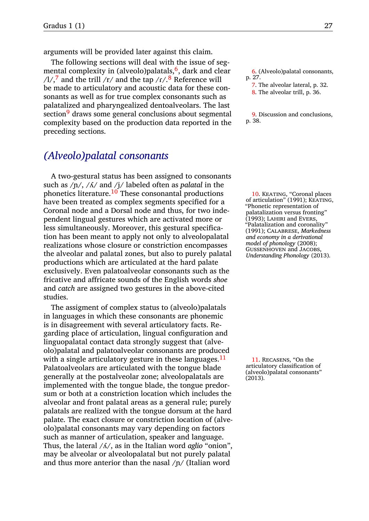arguments will be provided later against this claim.

The following sections will deal with the issue of seg-mental complexity in (alveolo)palatals,<sup>6</sup>, dark and clear 6. [\(Alveolo\)palatal consonants,](#page-4-0)<br> $\frac{1}{7}$  and the trill  $\frac{1}{7}$  and the tap  $\frac{1}{7}$  & Reference will p. 27.  $\frac{1}{7}$  and the trill /r/ and the tap /ɾ/.<sup>8</sup> Reference will be made to articulatory and acoustic data for these con-<br>8. [The alveolar trill,](#page-13-0) p. [36.](#page-13-0) sonants as well as for true complex consonants such as palatalized and pharyngealized dentoalveolars. The last section<sup>9</sup> draws some general conclusions about segmental 9. [Discussion and conclusions,](#page-15-0)<br>complexity based on the production data reported in the  $p. 38$ . complexity based on the production data reported in the preceding sections.

### <span id="page-4-0"></span>*(Alveolo)palatal consonants*

A two-gestural status has been assigned to consonants such as /ɲ/, /ʎ/ and /j/ labeled often as *palatal* in the phonetics literature.<sup>10</sup> These consonantal productions  $\qquad 10$ . KEATING, ["Coronal places](#page-17-1)" have been treated as complex segments specified for a Coronal node and a Dorsal node and thus, for two independent lingual gestures which are activated more or less simultaneously. Moreover, this gestural specification has been meant to apply not only to alveolopalatal realizations whose closure or constriction encompasses the alveolar and palatal zones, but also to purely palatal productions which are articulated at the hard palate exclusively. Even palatoalveolar consonants such as the fricative and africate sounds of the English words *shoe* and *catch* are assigned two gestures in the above-cited studies.

The assigment of complex status to (alveolo)palatals in languages in which these consonants are phonemic is in disagreement with several articulatory facts. Regarding place of articulation, lingual configuration and linguopalatal contact data strongly suggest that (alveolo)palatal and palatoalveolar consonants are produced with a single articulatory gesture in these languages.<sup>11</sup> 11. RECASENS, ["On the](#page-18-1) Palatoalveolars are articulated with the tongue blade generally at the postalveolar zone; alveolopalatals are implemented with the tongue blade, the tongue predorsum or both at a constriction location which includes the alveolar and front palatal areas as a general rule; purely palatals are realized with the tongue dorsum at the hard palate. The exact closure or constriction location of (alveolo)palatal consonants may vary depending on factors such as manner of articulation, speaker and language. Thus, the lateral /ʎ/, as in the Italian word *aglio* "onion", may be alveolar or alveolopalatal but not purely palatal and thus more anterior than the nasal  $/p/$  (Italian word

7. [The alveolar lateral,](#page-9-0) p. [32.](#page-9-0)

[of articulation"](#page-17-1) (1991); KEATING, ["Phonetic representation of](#page-17-2) [palatalization versus fronting"](#page-17-2) (1993); Lahiri and Evers, ["Palatalization and coronality"](#page-17-3) (1991); Calabrese, *[Markedness](#page-17-4) [and economy in a derivational](#page-17-4) [model of phonology](#page-17-4)* (2008); Gussenhoven and Jacobs, *[Understanding Phonology](#page-17-5)* (2013).

articulatory classification of [\(alveolo\)palatal consonants"](#page-18-1) (2013).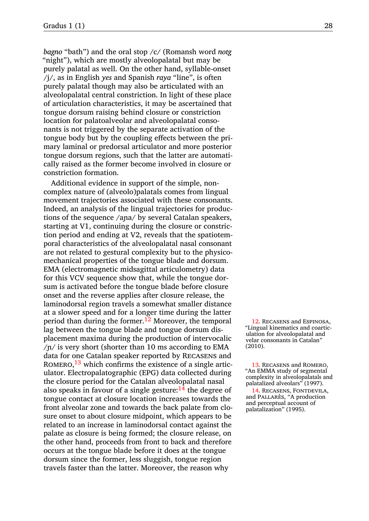*bagno* "bath") and the oral stop /c/ (Romansh word *notg* "night"), which are mostly alveolopalatal but may be purely palatal as well. On the other hand, syllable-onset /j/, as in English *yes* and Spanish *raya* "line", is often purely palatal though may also be articulated with an alveolopalatal central constriction. In light of these place of articulation characteristics, it may be ascertained that tongue dorsum raising behind closure or constriction location for palatoalveolar and alveolopalatal consonants is not triggered by the separate activation of the tongue body but by the coupling efects between the primary laminal or predorsal articulator and more posterior tongue dorsum regions, such that the latter are automatically raised as the former become involved in closure or constriction formation.

Additional evidence in support of the simple, noncomplex nature of (alveolo)palatals comes from lingual movement trajectories associated with these consonants. Indeed, an analysis of the lingual trajectories for productions of the sequence /aɲa/ by several Catalan speakers, starting at V1, continuing during the closure or constriction period and ending at V2, reveals that the spatiotemporal characteristics of the alveolopalatal nasal consonant are not related to gestural complexity but to the physicomechanical properties of the tongue blade and dorsum. EMA (electromagnetic midsagittal articulometry) data for this VCV sequence show that, while the tongue dorsum is activated before the tongue blade before closure onset and the reverse applies after closure release, the laminodorsal region travels a somewhat smaller distance at a slower speed and for a longer time during the latter period than during the former.<sup>12</sup> Moreover, the temporal  $12$ . RECASENS and ESPINOSA, lag between the tongue blade and tongue dorsum displacement maxima during the production of intervocalic  $/p/$  is very short (shorter than 10 ms according to EMA data for one Catalan speaker reported by Recasens and ROMERO,  $13$  which confirms the existence of a single artic- 13. RECASENS and ROMERO, ulator. Electropalatographic (EPG) data collected during the closure period for the Catalan alveolopalatal nasal also speaks in favour of a single gesture: $14$  the degree of  $14$ . RECASENS, FONTDEVILA, tongue contact at closure location increases towards the front alveolar zone and towards the back palate from closure onset to about closure midpoint, which appears to be related to an increase in laminodorsal contact against the palate as closure is being formed; the closure release, on the other hand, proceeds from front to back and therefore occurs at the tongue blade before it does at the tongue dorsum since the former, less sluggish, tongue region travels faster than the latter. Moreover, the reason why

["Lingual kinematics and coartic](#page-18-2)[ulation for alveolopalatal and](#page-18-2) [velar consonants in Catalan"](#page-18-2) (2010).

["An EMMA study of segmental](#page-18-3) [complexity in alveolopalatals and](#page-18-3) [palatalized alveolars"](#page-18-3) (1997).

and Pallarès, ["A production](#page-18-4) [and perceptual account of](#page-18-4) [palatalization"](#page-18-4) (1995).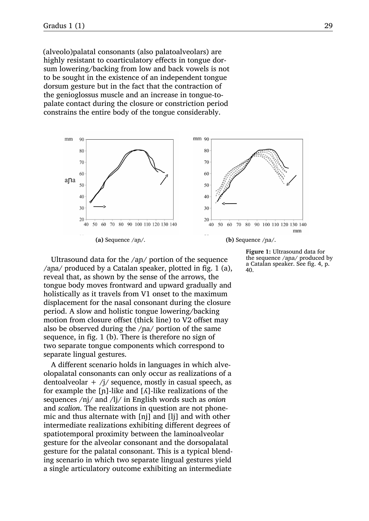(alveolo)palatal consonants (also palatoalveolars) are highly resistant to coarticulatory effects in tongue dorsum lowering/backing from low and back vowels is not to be sought in the existence of an independent tongue dorsum gesture but in the fact that the contraction of the genioglossus muscle and an increase in tongue-topalate contact during the closure or constriction period constrains the entire body of the tongue considerably.

<span id="page-6-1"></span><span id="page-6-0"></span>

Ultrasound data for the /aɲ/ portion of the sequence  $\alpha$ na/ produced by a Catalan speaker, plotted in fig. [1](#page-6-0) [\(a\),](#page-6-1) reveal that, as shown by the sense of the arrows, the tongue body moves frontward and upward gradually and holistically as it travels from V1 onset to the maximum displacement for the nasal consonant during the closure period. A slow and holistic tongue lowering/backing motion from closure offset (thick line) to V2 offset may also be observed during the  $/na/$  portion of the same sequence, in fig. [1](#page-6-0) [\(b\).](#page-6-2) There is therefore no sign of two separate tongue components which correspond to separate lingual gestures.

A diferent scenario holds in languages in which alveolopalatal consonants can only occur as realizations of a dentoalveolar  $+$  /j/ sequence, mostly in casual speech, as for example the [ɲ]-like and [ʎ]-like realizations of the sequences /nj/ and /lj/ in English words such as *onion* and *scalion*. The realizations in question are not phonemic and thus alternate with [nj] and [lj] and with other intermediate realizations exhibiting diferent degrees of spatiotemporal proximity between the laminoalveolar gesture for the alveolar consonant and the dorsopalatal gesture for the palatal consonant. This is a typical blending scenario in which two separate lingual gestures yield a single articulatory outcome exhibiting an intermediate

<span id="page-6-2"></span>**Figure 1:** Ultrasound data for the sequence /aɲa/ produced by a Catalan speaker. See fig. [4,](#page-19-0) p. [40.](#page-19-0)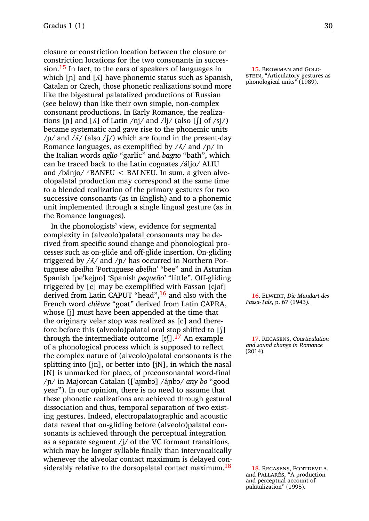closure or constriction location between the closure or constriction locations for the two consonants in succession.<sup>15</sup> In fact, to the ears of speakers of languages in 15. BROWMAN and GOLDwhich  $[n]$  and  $[\Lambda]$  have phonemic status such as Spanish, Catalan or Czech, those phonetic realizations sound more like the bigestural palatalized productions of Russian (see below) than like their own simple, non-complex consonant productions. In Early Romance, the realizations [p] and [ $\Lambda$ ] of Latin /nj/ and /lj/ (also [ $\int$ ] of /sj/) became systematic and gave rise to the phonemic units  $/$ n/ and  $/$  A $/$  (also  $/$  I $/$ ) which are found in the present-day Romance languages, as exemplified by  $/\Lambda$  and  $/\eta$  in the Italian words *aglio* "garlic" and *bagno* "bath", which can be traced back to the Latin cognates /áljo/ ALIU and /bánjo/ \*BANEU < BALNEU. In sum, a given alveolopalatal production may correspond at the same time to a blended realization of the primary gestures for two successive consonants (as in English) and to a phonemic unit implemented through a single lingual gesture (as in the Romance languages).

In the phonologists' view, evidence for segmental complexity in (alveolo)palatal consonants may be derived from specific sound change and phonological processes such as on-glide and off-glide insertion. On-gliding triggered by /ʎ/ and /ɲ/ has occurred in Northern Portuguese *abeilha* 'Portuguese *abelha*' "bee" and in Asturian Spanish [pe<sup>'</sup>kejno] 'Spanish *pequeño*' "little". Off-gliding triggered by [c] may be exemplified with Fassan [cjaf] derived from Latin CAPUT "head",<sup>16</sup> and also with the 16. ELWERT, *[Die Mundart des](#page-17-6)*<br>Franch word chières "goot" derived from Latin CADPA Fassa-Tals, p. 67 (1943). French word *chièvre* "goat" derived from Latin CAPRA, whose [j] must have been appended at the time that the originary velar stop was realized as [c] and therefore before this (alveolo)palatal oral stop shifted to [ʃ] through the intermediate outcome [tʃ].<sup>17</sup> An example 17. Recasens, *[Coarticulation](#page-18-5)* of a phonological process which is supposed to reflect the complex nature of (alveolo)palatal consonants is the splitting into [jn], or better into [jN], in which the nasal [N] is unmarked for place, of preconsonantal word-final /ɲ/ in Majorcan Catalan ([ˈajmbɔ] /áɲbɔ/ *any bo* "good year"). In our opinion, there is no need to assume that these phonetic realizations are achieved through gestural dissociation and thus, temporal separation of two existing gestures. Indeed, electropalatographic and acoustic data reveal that on-gliding before (alveolo)palatal consonants is achieved through the perceptual integration as a separate segment  $/j/$  of the VC formant transitions, which may be longer syllable finally than intervocalically whenever the alveolar contact maximum is delayed considerably relative to the dorsopalatal contact maximum.<sup>18</sup> 18. RECASENS, FONTDEVILA,

stein, ["Articulatory gestures as](#page-16-2)<br>phonological units" (1989).

*[and sound change in Romance](#page-18-5)*

and Pallarès, ["A production](#page-18-4) [and perceptual account of](#page-18-4) [palatalization"](#page-18-4) (1995).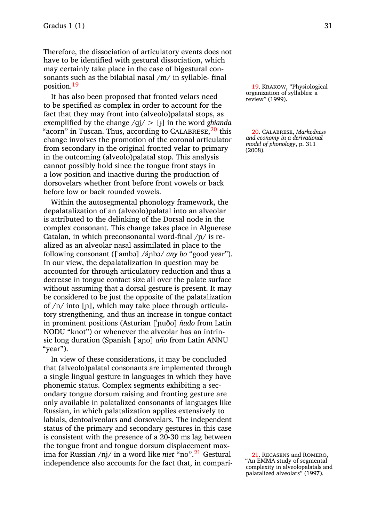Therefore, the dissociation of articulatory events does not have to be identified with gestural dissociation, which may certainly take place in the case of bigestural consonants such as the bilabial nasal /m/ in syllable- final position.<sup>19</sup>

It has also been proposed that fronted velars need to be specified as complex in order to account for the fact that they may front into (alveolo)palatal stops, as exemplified by the change  $\gamma$ gi $/$  > [ $\frac{1}{2}$ ] in the word *ghianda* "acorn" in Tuscan. Thus, according to CALABRESE, <sup>20</sup> this <sup>20</sup> 20. CALABRESE, *[Markedness](#page-17-4)* change involves the promotion of the coronal articulator from secondary in the original fronted velar to primary in the outcoming (alveolo)palatal stop. This analysis cannot possibly hold since the tongue front stays in a low position and inactive during the production of dorsovelars whether front before front vowels or back before low or back rounded vowels.

Within the autosegmental phonology framework, the depalatalization of an (alveolo)palatal into an alveolar is attributed to the delinking of the Dorsal node in the complex consonant. This change takes place in Alguerese Catalan, in which preconsonantal word-final  $/p/$  is realized as an alveolar nasal assimilated in place to the following consonant ([ˈambɔ] /áɲbɔ/ *any bo* "good year"). In our view, the depalatalization in question may be accounted for through articulatory reduction and thus a decrease in tongue contact size all over the palate surface without assuming that a dorsal gesture is present. It may be considered to be just the opposite of the palatalization of /n/ into [ɲ], which may take place through articulatory strengthening, and thus an increase in tongue contact in prominent positions (Asturian [ˈɲuðo] *ñudo* from Latin NODU "knot") or whenever the alveolar has an intrinsic long duration (Spanish [ˈaɲo] *año* from Latin ANNU "year").

In view of these considerations, it may be concluded that (alveolo)palatal consonants are implemented through a single lingual gesture in languages in which they have phonemic status. Complex segments exhibiting a secondary tongue dorsum raising and fronting gesture are only available in palatalized consonants of languages like Russian, in which palatalization applies extensively to labials, dentoalveolars and dorsovelars. The independent status of the primary and secondary gestures in this case is consistent with the presence of a 20-30 ms lag between the tongue front and tongue dorsum displacement maxima for Russian /nj/ in a word like *niet* "no".<sup>21</sup> Gestural 21. Recasens and Romero, independence also accounts for the fact that, in compari-

19. KRAKOW, ["Physiological](#page-17-7) [organization of syllables: a](#page-17-7)<br>review" (1999).

*[and economy in a derivational](#page-17-4) [model of phonology](#page-17-4)*, p. 311 (2008).

["An EMMA study of segmental](#page-18-3) [complexity in alveolopalatals and](#page-18-3) [palatalized alveolars"](#page-18-3) (1997).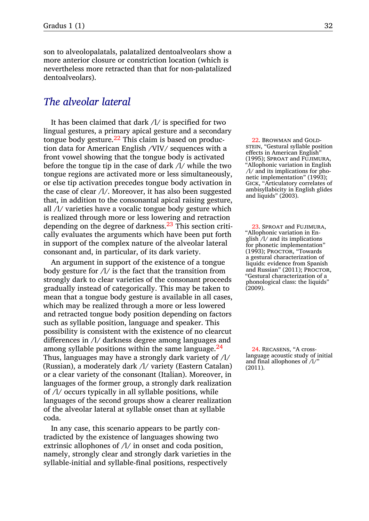son to alveolopalatals, palatalized dentoalveolars show a more anterior closure or constriction location (which is nevertheless more retracted than that for non-palatalized dentoalveolars).

## <span id="page-9-0"></span>*The alveolar lateral*

It has been claimed that dark  $\Lambda/$  is specified for two lingual gestures, a primary apical gesture and a secondary tongue body gesture.<sup>22</sup> This claim is based on produc-  $\frac{22.8 \text{ROWMAN and GOLD-}}{22.8 \text{ROWMAN}}$ tion data for American English /VlV/ sequences with a front vowel showing that the tongue body is activated before the tongue tip in the case of dark /l/ while the two tongue regions are activated more or less simultaneously, or else tip activation precedes tongue body activation in the case of clear /l/. Moreover, it has also been suggested that, in addition to the consonantal apical raising gesture, all /l/ varieties have a vocalic tongue body gesture which is realized through more or less lowering and retraction depending on the degree of darkness.<sup>23</sup> This section criti- 23. SPROAT and FUJIMURA, cally evaluates the arguments which have been put forth in support of the complex nature of the alveolar lateral consonant and, in particular, of its dark variety.

An argument in support of the existence of a tongue body gesture for /l/ is the fact that the transition from strongly dark to clear varieties of the consonant proceeds gradually instead of categorically. This may be taken to mean that a tongue body gesture is available in all cases, which may be realized through a more or less lowered and retracted tongue body position depending on factors such as syllable position, language and speaker. This possibility is consistent with the existence of no clearcut diferences in /l/ darkness degree among languages and among syllable positions within the same language. $^{24}$  24. RECASENS, ["A cross-](#page-18-8)Thus, languages may have a strongly dark variety of /l/ (Russian), a moderately dark /l/ variety (Eastern Catalan) or a clear variety of the consonant (Italian). Moreover, in languages of the former group, a strongly dark realization of /l/ occurs typically in all syllable positions, while languages of the second groups show a clearer realization of the alveolar lateral at syllable onset than at syllable coda.

In any case, this scenario appears to be partly contradicted by the existence of languages showing two extrinsic allophones of /l/ in onset and coda position, namely, strongly clear and strongly dark varieties in the syllable-initial and syllable-final positions, respectively

stein, ["Gestural syllable position](#page-16-3) [efects in American English"](#page-16-3) (1995); Sproat and Fujimura, ["Allophonic variation in English](#page-18-6) [/l/ and its implications for pho](#page-18-6)[netic implementation"](#page-18-6) (1993); Gick, ["Articulatory correlates of](#page-17-8) [ambisyllabicity in English glides](#page-17-8) [and liquids"](#page-17-8)  $(2003)$ .

["Allophonic variation in En](#page-18-6)[glish /l/ and its implications](#page-18-6) [for phonetic implementation"](#page-18-6) (1993); PROCTOR, ["Towards](#page-18-7) [a gestural characterization of](#page-18-7) [liquids: evidence from Spanish](#page-18-7) [and Russian"](#page-18-7) (2011); PROCTOR, ["Gestural characterization of a](#page-18-0) [phonological class: the liquids"](#page-18-0) (2009).

[language acoustic study of initial](#page-18-8) and final allophones of  $\Lambda$ " (2011).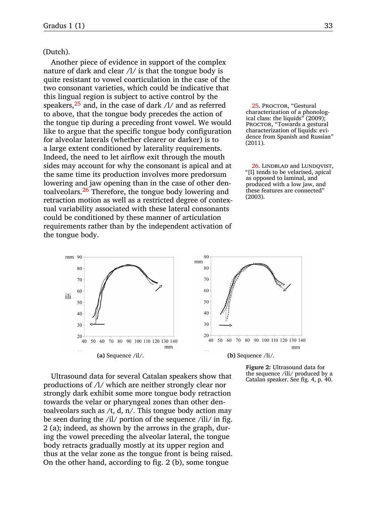(Dutch).

Another piece of evidence in support of the complex nature of dark and clear /l/ is that the tongue body is quite resistant to vowel coarticulation in the case of the two consonant varieties, which could be indicative that this lingual region is subject to active control by the speakers,  $25$  and, in the case of dark  $\Lambda$  and as referred 25. Proctor, ["Gestural](#page-18-0) to above, that the tongue body precedes the action of the tongue tip during a preceding front vowel. We would like to argue that the specific tongue body configuration for alveolar laterals (whether clearer or darker) is to a large extent conditioned by laterality requirements. Indeed, the need to let airlow exit through the mouth sides may account for why the consonant is apical and at the same time its production involves more predorsum lowering and jaw opening than in the case of other dentoalveolars.<sup>26</sup> Therefore, the tongue body lowering and retraction motion as well as a restricted degree of contextual variability associated with these lateral consonants could be conditioned by these manner of articulation requirements rather than by the independent activation of the tongue body.

[characterization of a phonolog](#page-18-0)[ical class: the liquids"](#page-18-0) (2009); PROCTOR, ["Towards a gestural](#page-18-7) [characterization of liquids: evi](#page-18-7)[dence from Spanish and Russian"](#page-18-7) (2011).

26. LINDBLAD and LUNDQVIST, ["\[l\] tends to be velarised, apical](#page-17-9) [as opposed to laminal, and](#page-17-9) [produced with a low jaw, and](#page-17-9) [these features are connected"](#page-17-9)<br>(2003).

<span id="page-10-1"></span><span id="page-10-0"></span>

Ultrasound data for several Catalan speakers show that productions of /l/ which are neither strongly clear nor strongly dark exhibit some more tongue body retraction towards the velar or pharyngeal zones than other dentoalveolars such as /t, d, n/. This tongue body action may be seen during the  $\frac{1}{\sqrt{2}}$  portion of the sequence  $\frac{1}{\sqrt{2}}$  in fig. [2](#page-10-0) [\(a\);](#page-10-1) indeed, as shown by the arrows in the graph, during the vowel preceding the alveolar lateral, the tongue body retracts gradually mostly at its upper region and thus at the velar zone as the tongue front is being raised. On the other hand, according to fig. [2](#page-10-0) [\(b\),](#page-10-2) some tongue

<span id="page-10-2"></span>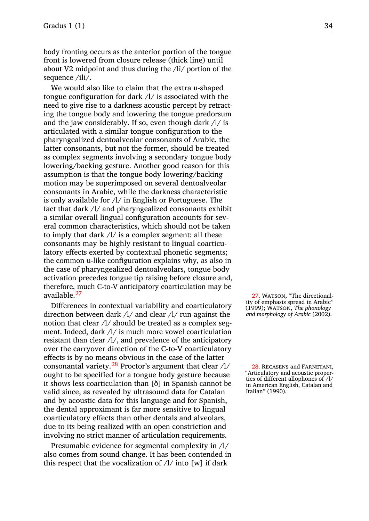body fronting occurs as the anterior portion of the tongue front is lowered from closure release (thick line) until about V2 midpoint and thus during the  $\frac{di}{dx}$  portion of the sequence /ili/.

We would also like to claim that the extra u-shaped tongue configuration for dark  $\Lambda$  is associated with the need to give rise to a darkness acoustic percept by retracting the tongue body and lowering the tongue predorsum and the jaw considerably. If so, even though dark /l/ is articulated with a similar tongue configuration to the pharyngealized dentoalveolar consonants of Arabic, the latter consonants, but not the former, should be treated as complex segments involving a secondary tongue body lowering/backing gesture. Another good reason for this assumption is that the tongue body lowering/backing motion may be superimposed on several dentoalveolar consonants in Arabic, while the darkness characteristic is only available for /l/ in English or Portuguese. The fact that dark /l/ and pharyngealized consonants exhibit a similar overall lingual configuration accounts for several common characteristics, which should not be taken to imply that dark  $\Lambda/$  is a complex segment: all these consonants may be highly resistant to lingual coarticulatory effects exerted by contextual phonetic segments; the common u-like configuration explains why, as also in the case of pharyngealized dentoalveolars, tongue body activation precedes tongue tip raising before closure and, therefore, much C-to-V anticipatory coarticulation may be  $a$ vailable.<sup>27</sup> 27. Watson, ["The directional-](#page-18-9)

Diferences in contextual variability and coarticulatory direction between dark /l/ and clear /l/ run against the notion that clear /l/ should be treated as a complex segment. Indeed, dark /l/ is much more vowel coarticulation resistant than clear /l/, and prevalence of the anticipatory over the carryover direction of the C-to-V coarticulatory efects is by no means obvious in the case of the latter consonantal variety.<sup>28</sup> Proctor's argument that clear  $/1/$  28. RECASENS and FARNETANI, ought to be specified for a tongue body gesture because it shows less coarticulation than [ð] in Spanish cannot be valid since, as revealed by ultrasound data for Catalan and by acoustic data for this language and for Spanish, the dental approximant is far more sensitive to lingual coarticulatory efects than other dentals and alveolars, due to its being realized with an open constriction and involving no strict manner of articulation requirements.

Presumable evidence for segmental complexity in /l/ also comes from sound change. It has been contended in this respect that the vocalization of  $\Lambda$  into [w] if dark

[ity of emphasis spread in Arabic"](#page-18-9) (1999); Watson, *[The phonology](#page-18-10) [and morphology of Arabic](#page-18-10)* (2002).

["Articulatory and acoustic proper](#page-18-11)[ties of diferent allophones of /l/](#page-18-11) [in American English, Catalan and](#page-18-11) [Italian"](#page-18-11) (1990).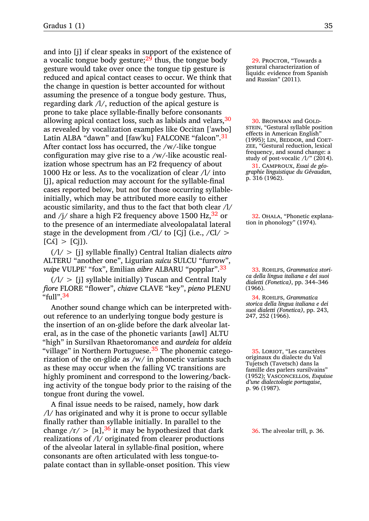and into [j] if clear speaks in support of the existence of a vocalic tongue body gesture; $^{29}$  thus, the tongue body 29. Proctor, ["Towards a](#page-18-7) gesture would take over once the tongue tip gesture is reduced and apical contact ceases to occur. We think that the change in question is better accounted for without assuming the presence of a tongue body gesture. Thus, regarding dark /l/, reduction of the apical gesture is prone to take place syllable-finally before consonants allowing apical contact loss, such as labials and velars,  $30\qquad 30$ . Browman and GOLDas revealed by vocalization examples like Occitan [ˈawbo] Latin ALBA "dawn" and [faw<sup>'</sup>ku] FALCONE "falcon".<sup>31</sup> After contact loss has occurred, the /w/-like tongue configuration may give rise to a  $/w$ -like acoustic realization whose spectrum has an F2 frequency of about 1000 Hz or less. As to the vocalization of clear /l/ into [j], apical reduction may account for the syllable-final cases reported below, but not for those occurring syllableinitially, which may be attributed more easily to either acoustic similarity, and thus to the fact that both clear /l/ and /j/ share a high F2 frequency above  $1500 \text{ Hz},^{32} \text{ or } 32$ . OHALA, "Phonetic explana-<br>to the presence of an intermediate alveologial lateral tion in phonology" (1974). to the presence of an intermediate alveolopalatal lateral stage in the development from /Cl/ to [Cj] (i.e.,  $\frac{\text{Cl}}{\text{C}}$  >  $[CA] > [Ci]$ ).

(/l/ > [j] syllable inally) Central Italian dialects *aitro* ALTERU "another one", Ligurian *suicu* SULCU "furrow", *vuipe* VULPE' "fox", Emilian *aibre* ALBARU "popplar".<sup>33</sup> 33. ROHLFS, *[Grammatica stori-](#page-18-12)*

 $(1/$  > [j] syllable initially) Tuscan and Central Italy *fiore* FLORE "flower", *chiave* CLAVE "key", *pieno* PLENU "full".<sup>34</sup>

Another sound change which can be interpreted without reference to an underlying tongue body gesture is the insertion of an on-glide before the dark alveolar lateral, as in the case of the phonetic variants [awl] ALTU "high" in Sursilvan Rhaetoromance and *aurdeia* for *aldeia* "village" in Northern Portuguese.<sup>35</sup> The phonemic catego-  $\overline{35}$ . LORIOT, ["Les caractères](#page-17-13) rization of the on-glide as  $/w/$  in phonetic variants such as these may occur when the falling VC transitions are highly prominent and correspond to the lowering/backing activity of the tongue body prior to the raising of the tongue front during the vowel.

A final issue needs to be raised, namely, how dark /l/ has originated and why it is prone to occur syllable finally rather than syllable initially. In parallel to the change  $/r$  > [R],  $36$  it may be hypothesized that dark 36. [The alveolar trill,](#page-13-0) p. [36.](#page-13-0) realizations of /l/ originated from clearer productions of the alveolar lateral in syllable-final position, where consonants are often articulated with less tongue-topalate contact than in syllable-onset position. This view

[gestural characterization of](#page-18-7) [liquids: evidence from Spanish](#page-18-7) [and Russian"](#page-18-7) (2011).

stein, ["Gestural syllable position](#page-16-3) [efects in American English"](#page-16-3) (1995); LIN, BEDDOR, and COETzee, ["Gestural reduction, lexical](#page-17-10) [frequency, and sound change: a](#page-17-10) study of post-vocalic  $\Lambda$ /" (2014).

31. Camproux, *[Essai de géo](#page-17-11)[graphie linguistique du Gévaudan](#page-17-11)*, p. 316 (1962).

*[ca della lingua italiana e dei suoi](#page-18-12) [dialetti \(Fonetica\)](#page-18-12)*, pp. 344–346 (1966).

34. ROHLFS, *[Grammatica](#page-18-12) [storica della lingua italiana e dei](#page-18-12) [suoi dialetti \(Fonetica\)](#page-18-12)*, pp. 243, 247, 252 (1966).

[originaux du dialecte du Val](#page-17-13) [Tujetsch \(Tavetsch\) dans la](#page-17-13) [famille des parlers sursilvains"](#page-17-13) (1952); Vasconcellos, *[Esquisse](#page-18-13) [d'une dialectologie portugaise](#page-18-13)*, p. 96 (1987).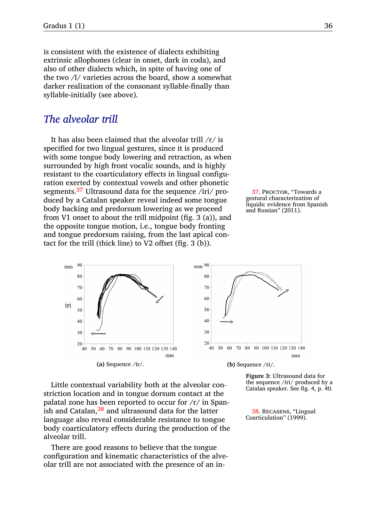is consistent with the existence of dialects exhibiting extrinsic allophones (clear in onset, dark in coda), and also of other dialects which, in spite of having one of the two /l/ varieties across the board, show a somewhat darker realization of the consonant syllable-finally than syllable-initially (see above).

## <span id="page-13-0"></span>*The alveolar trill*

It has also been claimed that the alveolar trill /r/ is specified for two lingual gestures, since it is produced with some tongue body lowering and retraction, as when surrounded by high front vocalic sounds, and is highly resistant to the coarticulatory effects in lingual configuration exerted by contextual vowels and other phonetic segments.<sup>37</sup> Ultrasound data for the sequence /iri/ pro-  $\frac{37}{27}$ . Proctor, ["Towards a](#page-18-7) duced by a Catalan speaker reveal indeed some tongue body backing and predorsum lowering as we proceed from V1 onset to about the trill midpoint (fig.  $3$  [\(a\)\)](#page-13-2), and the opposite tongue motion, i.e., tongue body fronting and tongue predorsum raising, from the last apical contact for the trill (thick line) to  $V2$  offset (fig. [3](#page-13-1) [\(b\)\)](#page-13-3).



<span id="page-13-2"></span><span id="page-13-1"></span>

Little contextual variability both at the alveolar constriction location and in tongue dorsum contact at the palatal zone has been reported to occur for /r/ in Spanish and Catalan,  $38$  and ultrasound data for the latter  $\qquad 38$ . RECASENS, ["Lingual](#page-18-14)<br>language also reveal considerable resistance to tongue  $\qquad$  Coarticulation" (1999). language also reveal considerable resistance to tongue body coarticulatory effects during the production of the alveolar trill.

There are good reasons to believe that the tongue configuration and kinematic characteristics of the alveolar trill are not associated with the presence of an in-



<span id="page-13-3"></span>**Figure 3:** Ultrasound data for the sequence /iri/ produced by a<br>Catalan speaker. See fig. 4, p. 40.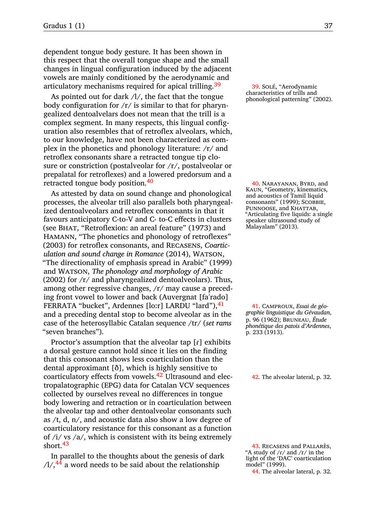dependent tongue body gesture. It has been shown in this respect that the overall tongue shape and the small changes in lingual configuration induced by the adjacent vowels are mainly conditioned by the aerodynamic and articulatory mechanisms required for apical trilling.<sup>39</sup> 39. Solé, ["Aerodynamic](#page-18-15) characteristics of trills and

As pointed out for dark  $\Lambda$ , the fact that the tongue [phonological patterning"](#page-18-15) (2002). body configuration for  $/r/$  is similar to that for pharyngealized dentoalvelars does not mean that the trill is a complex segment. In many respects, this lingual configuration also resembles that of retroflex alveolars, which, to our knowledge, have not been characterized as complex in the phonetics and phonology literature: /r/ and retroflex consonants share a retracted tongue tip closure or constriction (postalveolar for /r/, postalveolar or prepalatal for retrolexes) and a lowered predorsum and a retracted tongue body position.<sup>40</sup>  $\frac{40}{40}$  AARAYANAN, BYRD, and

As attested by data on sound change and phonological processes, the alveolar trill also parallels both pharyngealized dentoalveolars and retroflex consonants in that it favours anticipatory C-to-V and C- to-C effects in clusters (see BHAT, "Retroflexion: an areal feature" (1973) and HAMANN, "The phonetics and phonology of retroflexes" (2003) for retrolex consonants, and Recasens, *[Coartic](#page-18-5)[ulation and sound change in Romance](#page-18-5)* (2014), WATSON, ["The directionality of emphasis spread in Arabic"](#page-18-9) (1999) and Watson, *[The phonology and morphology of Arabic](#page-18-10)* (2002) for /r/ and pharyngealized dentoalveolars). Thus, among other regressive changes, /r/ may cause a preceding front vowel to lower and back (Auvergnat [faˈrado] FERRATA "bucket", Ardennes [lo:r] LARDU "lard"),<sup>41</sup> 41. Camproux, *[Essai de géo](#page-17-11)*and a preceding dental stop to become alveolar as in the case of the heterosyllabic Catalan sequence /tr/ (*set rams* "seven branches").

Proctor's assumption that the alveolar tap [r] exhibits a dorsal gesture cannot hold since it lies on the finding that this consonant shows less coarticulation than the dental approximant [ð], which is highly sensitive to coarticulatory effects from vowels.<sup>42</sup> Ultrasound and elec-  $\frac{42}{42}$ . [The alveolar lateral,](#page-9-0) p. [32.](#page-9-0) tropalatographic (EPG) data for Catalan VCV sequences collected by ourselves reveal no diferences in tongue body lowering and retraction or in coarticulation between the alveolar tap and other dentoalveolar consonants such as /t, d, n/, and acoustic data also show a low degree of coarticulatory resistance for this consonant as a function of /i/ vs /a/, which is consistent with its being extremely short.<sup>43</sup>

In parallel to the thoughts about the genesis of dark  $/1/$ ,<sup>44</sup> a word needs to be said about the relationship

Kaun, ["Geometry, kinematics,](#page-17-14) [and acoustics of Tamil liquid](#page-17-14) [consonants"](#page-17-14) (1999); SCOBBIE, PUNNOOSE, and KHATTAB, "Articulating five liquids: a single [speaker ultrasound study of](#page-18-16) [Malayalam"](#page-18-16) (2013).

*[graphie linguistique du Gévaudan](#page-17-11)*, p. 96 (1962); Bruneau, *[Étude](#page-17-16) [phonétique des patois d'Ardennes](#page-17-16)*, p. 233 (1913).

43. RECASENS and PALLARÈS, ["A study of /ɾ/ and /r/ in the](#page-18-17) [light of the 'DAC' coarticulation](#page-18-17) [model"](#page-18-17) (1999).

44. [The alveolar lateral,](#page-9-0) p. [32.](#page-9-0)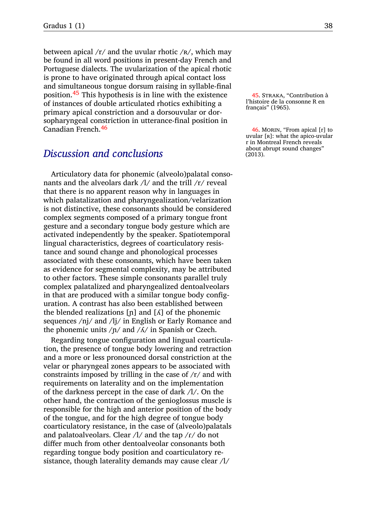between apical  $/r/$  and the uvular rhotic  $/R/$ , which may be found in all word positions in present-day French and Portuguese dialects. The uvularization of the apical rhotic is prone to have originated through apical contact loss and simultaneous tongue dorsum raising in syllable-final position.<sup>45</sup> This hypothesis is in line with the existence  $\frac{45.5}{12}$  STRAKA, ["Contribution à](#page-18-18) of instances of double articulated rhotics exhibiting a primary apical constriction and a dorsouvular or dorsopharyngeal constriction in utterance-final position in Canadian French.<sup>46</sup>

#### <span id="page-15-0"></span>**Discussion and conclusions** (2013).

Articulatory data for phonemic (alveolo)palatal consonants and the alveolars dark /l/ and the trill /r/ reveal that there is no apparent reason why in languages in which palatalization and pharyngealization/velarization is not distinctive, these consonants should be considered complex segments composed of a primary tongue front gesture and a secondary tongue body gesture which are activated independently by the speaker. Spatiotemporal lingual characteristics, degrees of coarticulatory resistance and sound change and phonological processes associated with these consonants, which have been taken as evidence for segmental complexity, may be attributed to other factors. These simple consonants parallel truly complex palatalized and pharyngealized dentoalveolars in that are produced with a similar tongue body configuration. A contrast has also been established between the blended realizations  $[n]$  and  $[\Lambda]$  of the phonemic sequences /nj/ and /lj/ in English or Early Romance and the phonemic units  $/p/$  and  $/A/$  in Spanish or Czech.

Regarding tongue configuration and lingual coarticulation, the presence of tongue body lowering and retraction and a more or less pronounced dorsal constriction at the velar or pharyngeal zones appears to be associated with constraints imposed by trilling in the case of /r/ and with requirements on laterality and on the implementation of the darkness percept in the case of dark /l/. On the other hand, the contraction of the genioglossus muscle is responsible for the high and anterior position of the body of the tongue, and for the high degree of tongue body coarticulatory resistance, in the case of (alveolo)palatals and palatoalveolars. Clear  $\frac{1}{4}$  and the tap  $\frac{f}{f}$  do not difer much from other dentoalveolar consonants both regarding tongue body position and coarticulatory resistance, though laterality demands may cause clear /l/

[l'histoire de la consonne R en](#page-18-18)

 $46$ . MORIN, ["From apical \[r\] to](#page-17-17) [uvular \[ʀ\]: what the apico-uvular](#page-17-17) [r in Montreal French reveals](#page-17-17)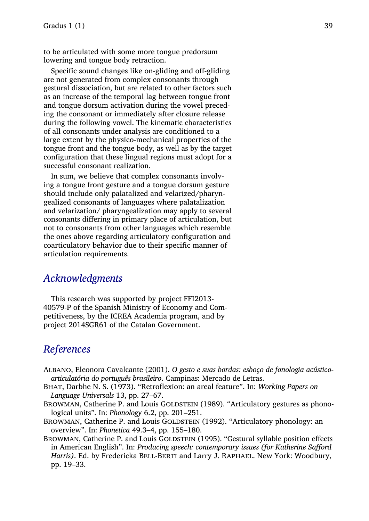to be articulated with some more tongue predorsum lowering and tongue body retraction.

Specific sound changes like on-gliding and off-gliding are not generated from complex consonants through gestural dissociation, but are related to other factors such as an increase of the temporal lag between tongue front and tongue dorsum activation during the vowel preceding the consonant or immediately after closure release during the following vowel. The kinematic characteristics of all consonants under analysis are conditioned to a large extent by the physico-mechanical properties of the tongue front and the tongue body, as well as by the target configuration that these lingual regions must adopt for a successful consonant realization.

In sum, we believe that complex consonants involving a tongue front gesture and a tongue dorsum gesture should include only palatalized and velarized/pharyngealized consonants of languages where palatalization and velarization/ pharyngealization may apply to several consonants difering in primary place of articulation, but not to consonants from other languages which resemble the ones above regarding articulatory configuration and coarticulatory behavior due to their specific manner of articulation requirements.

#### *Acknowledgments*

This research was supported by project FFI2013- 40579-P of the Spanish Ministry of Economy and Competitiveness, by the ICREA Academia program, and by project 2014SGR61 of the Catalan Government.

## *References*

- <span id="page-16-1"></span>Albano, Eleonora Cavalcante (2001). *O gesto e suas bordas: esboço de fonologia acústicoarticulatória do português brasileiro*. Campinas: Mercado de Letras.
- <span id="page-16-4"></span>Bhat, Darbhe N. S. (1973). "Retrolexion: an areal feature". In: *Working Papers on Language Universals* 13, pp. 27–67.
- <span id="page-16-2"></span>BROWMAN, Catherine P. and Louis GOLDSTEIN (1989). "Articulatory gestures as phonological units". In: *Phonology* 6.2, pp. 201–251.
- <span id="page-16-0"></span>BROWMAN, Catherine P. and Louis GOLDSTEIN (1992). "Articulatory phonology: an overview". In: *Phonetica* 49.3–4, pp. 155–180.
- <span id="page-16-3"></span>BROWMAN, Catherine P. and Louis GOLDSTEIN (1995). "Gestural syllable position effects in American English". In: *Producing speech: contemporary issues (for Katherine Saford* Harris). Ed. by Fredericka BELL-BERTI and Larry J. RAPHAEL. New York: Woodbury, pp. 19–33.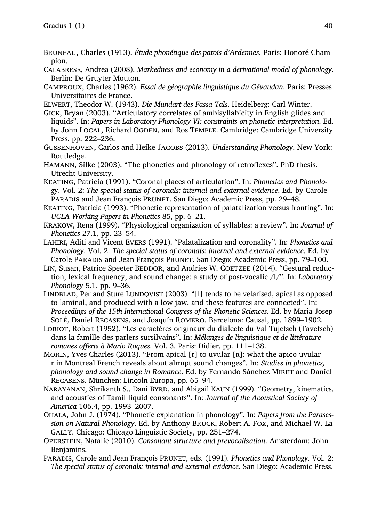- <span id="page-17-16"></span>Bruneau, Charles (1913). *Étude phonétique des patois d'Ardennes*. Paris: Honoré Champion.
- <span id="page-17-4"></span>Calabrese, Andrea (2008). *Markedness and economy in a derivational model of phonology*. Berlin: De Gruyter Mouton.
- <span id="page-17-11"></span>Camproux, Charles (1962). *Essai de géographie linguistique du Gévaudan*. Paris: Presses Universitaires de France.
- <span id="page-17-6"></span>Elwert, Theodor W. (1943). *Die Mundart des Fassa-Tals*. Heidelberg: Carl Winter.
- <span id="page-17-8"></span>Gick, Bryan (2003). "Articulatory correlates of ambisyllabicity in English glides and liquids". In: *Papers in Laboratory Phonology VI: constraints on phonetic interpretation*. Ed. by John LOCAL, Richard OGDEN, and Ros TEMPLE. Cambridge: Cambridge University Press, pp. 222–236.
- <span id="page-17-5"></span>Gussenhoven, Carlos and Heike Jacobs (2013). *Understanding Phonology*. New York: Routledge.
- <span id="page-17-15"></span>HAMANN, Silke (2003). "The phonetics and phonology of retroflexes". PhD thesis. Utrecht University.
- <span id="page-17-1"></span>Keating, Patricia (1991). "Coronal places of articulation". In: *Phonetics and Phonology*. Vol. 2: *The special status of coronals: internal and external evidence*. Ed. by Carole PARADIS and Jean François PRUNET. San Diego: Academic Press, pp. 29-48.
- <span id="page-17-2"></span>KEATING, Patricia (1993). "Phonetic representation of palatalization versus fronting". In: *UCLA Working Papers in Phonetics* 85, pp. 6–21.
- <span id="page-17-7"></span>Krakow, Rena (1999). "Physiological organization of syllables: a review". In: *Journal of Phonetics* 27.1, pp. 23–54.
- <span id="page-17-3"></span>Lahiri, Aditi and Vicent Evers (1991). "Palatalization and coronality". In: *Phonetics and Phonology*. Vol. 2: *The special status of coronals: internal and external evidence*. Ed. by Carole Paradis and Jean François Prunet. San Diego: Academic Press, pp. 79–100.
- <span id="page-17-10"></span>LIN, Susan, Patrice Speeter BEDDOR, and Andries W. COETZEE (2014). "Gestural reduction, lexical frequency, and sound change: a study of post-vocalic /l/". In: *Laboratory Phonology* 5.1, pp. 9–36.
- <span id="page-17-9"></span>LINDBLAD, Per and Sture LUNDQVIST (2003). "[1] tends to be velarised, apical as opposed to laminal, and produced with a low jaw, and these features are connected". In: *Proceedings of the 15th International Congress of the Phonetic Sciences*. Ed. by Maria Josep Solé, Daniel Recasens, and Joaquín Romero. Barcelona: Causal, pp. 1899–1902.
- <span id="page-17-13"></span>LORIOT, Robert (1952). "Les caractères originaux du dialecte du Val Tujetsch (Tavetsch) dans la famille des parlers sursilvains". In: *Mélanges de linguistique et de littérature romanes oferts à Mario Roques*. Vol. 3. Paris: Didier, pp. 111–138.
- <span id="page-17-17"></span>MORIN, Yves Charles (2013). "From apical [r] to uvular [R]: what the apico-uvular r in Montreal French reveals about abrupt sound changes". In: *Studies in phonetics, phonology and sound change in Romance*. Ed. by Fernando Sánchez Miret and Daniel Recasens. München: Lincoln Europa, pp. 65–94.
- <span id="page-17-14"></span>NARAYANAN, Shrikanth S., Dani BYRD, and Abigail KAUN (1999). "Geometry, kinematics, and acoustics of Tamil liquid consonants". In: *Journal of the Acoustical Society of America* 106.4, pp. 1993–2007.
- <span id="page-17-12"></span>Ohala, John J. (1974). "Phonetic explanation in phonology". In: *Papers from the Parasession on Natural Phonology*. Ed. by Anthony Bruck, Robert A. Fox, and Michael W. La Gally. Chicago: Chicago Linguistic Society, pp. 251–274.
- <span id="page-17-0"></span>Operstein, Natalie (2010). *Consonant structure and prevocalization*. Amsterdam: John Benjamins.
- PARADIS, Carole and Jean François PRUNET, eds. (1991). *Phonetics and Phonology*. Vol. 2: *The special status of coronals: internal and external evidence*. San Diego: Academic Press.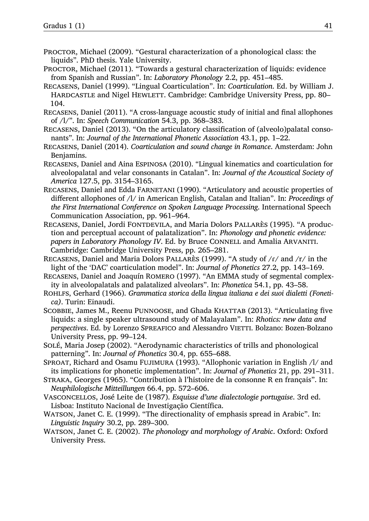- <span id="page-18-0"></span>PROCTOR, Michael (2009). "Gestural characterization of a phonological class: the liquids". PhD thesis. Yale University.
- <span id="page-18-7"></span>PROCTOR, Michael (2011). "Towards a gestural characterization of liquids: evidence from Spanish and Russian". In: *Laboratory Phonology* 2.2, pp. 451–485.
- <span id="page-18-14"></span>Recasens, Daniel (1999). "Lingual Coarticulation". In: *Coarticulation*. Ed. by William J. HARDCASTLE and Nigel HEWLETT. Cambridge: Cambridge University Press, pp. 80– 104.
- <span id="page-18-8"></span>RECASENS, Daniel (2011). "A cross-language acoustic study of initial and final allophones of /l/". In: *Speech Communication* 54.3, pp. 368–383.
- <span id="page-18-1"></span>RECASENS, Daniel (2013). "On the articulatory classification of (alveolo)palatal consonants". In: *Journal of the International Phonetic Association* 43.1, pp. 1–22.
- <span id="page-18-5"></span>Recasens, Daniel (2014). *Coarticulation and sound change in Romance*. Amsterdam: John Benjamins.
- <span id="page-18-2"></span>Recasens, Daniel and Aina Espinosa (2010). "Lingual kinematics and coarticulation for alveolopalatal and velar consonants in Catalan". In: *Journal of the Acoustical Society of America* 127.5, pp. 3154–3165.
- <span id="page-18-11"></span>RECASENS, Daniel and Edda FARNETANI (1990). "Articulatory and acoustic properties of diferent allophones of /l/ in American English, Catalan and Italian". In: *Proceedings of the First International Conference on Spoken Language Processing*. International Speech Communication Association, pp. 961–964.
- <span id="page-18-4"></span>RECASENS, Daniel, Jordi FONTDEVILA, and Maria Dolors PALLARÈS (1995). "A production and perceptual account of palatalization". In: *Phonology and phonetic evidence:* papers in Laboratory Phonology IV. Ed. by Bruce CONNELL and Amalia ARVANITI. Cambridge: Cambridge University Press, pp. 265–281.
- <span id="page-18-17"></span>Recasens, Daniel and Maria Dolors Pallarès (1999). "A study of /ɾ/ and /r/ in the light of the 'DAC' coarticulation model". In: *Journal of Phonetics* 27.2, pp. 143–169.
- <span id="page-18-3"></span>Recasens, Daniel and Joaquín Romero (1997). "An EMMA study of segmental complexity in alveolopalatals and palatalized alveolars". In: *Phonetica* 54.1, pp. 43–58.
- <span id="page-18-12"></span>Rohlfs, Gerhard (1966). *Grammatica storica della lingua italiana e dei suoi dialetti (Fonetica)*. Turin: Einaudi.
- <span id="page-18-16"></span>SCOBBIE, James M., Reenu PUNNOOSE, and Ghada KHATTAB (2013). "Articulating five liquids: a single speaker ultrasound study of Malayalam". In: *Rhotics: new data and perspectives*. Ed. by Lorenzo SPREAFICO and Alessandro VIETTI. Bolzano: Bozen-Bolzano University Press, pp. 99–124.
- <span id="page-18-15"></span>Solé, Maria Josep (2002). "Aerodynamic characteristics of trills and phonological patterning". In: *Journal of Phonetics* 30.4, pp. 655–688.
- <span id="page-18-6"></span>SPROAT, Richard and Osamu FUJIMURA (1993). "Allophonic variation in English /l/ and its implications for phonetic implementation". In: *Journal of Phonetics* 21, pp. 291–311.
- <span id="page-18-18"></span>Straka, Georges (1965). "Contribution à l'histoire de la consonne R en français". In: *Neuphilologische Mitteillungen* 66.4, pp. 572–606.
- <span id="page-18-13"></span>Vasconcellos, José Leite de (1987). *Esquisse d'une dialectologie portugaise*. 3rd ed. Lisboa: Instituto Nacional de Investigação Científica.
- <span id="page-18-9"></span>WATSON, Janet C. E. (1999). "The directionality of emphasis spread in Arabic". In: *Linguistic Inquiry* 30.2, pp. 289–300.
- <span id="page-18-10"></span>Watson, Janet C. E. (2002). *The phonology and morphology of Arabic*. Oxford: Oxford University Press.